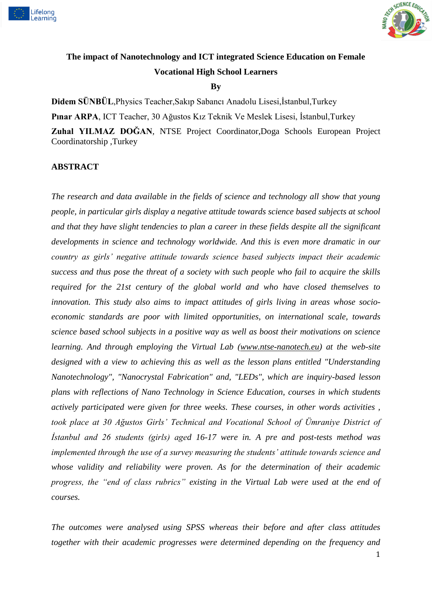



# **The impact of Nanotechnology and ICT integrated Science Education on Female Vocational High School Learners**

### **By**

**Didem SÜNBÜL**,Physics Teacher,Sakıp Sabancı Anadolu Lisesi,İstanbul,Turkey **Pınar ARPA**, ICT Teacher, 30 Ağustos Kız Teknik Ve Meslek Lisesi, İstanbul,Turkey **Zuhal YILMAZ DOĞAN**, NTSE Project Coordinator,Doga Schools European Project

Coordinatorship ,Turkey

### **ABSTRACT**

*The research and data available in the fields of science and technology all show that young people, in particular girls display a negative attitude towards science based subjects at school and that they have slight tendencies to plan a career in these fields despite all the significant developments in science and technology worldwide. And this is even more dramatic in our country as girls' negative attitude towards science based subjects impact their academic success and thus pose the threat of a society with such people who fail to acquire the skills required for the 21st century of the global world and who have closed themselves to innovation. This study also aims to impact attitudes of girls living in areas whose socioeconomic standards are poor with limited opportunities, on international scale, towards science based school subjects in a positive way as well as boost their motivations on science learning. And through employing the Virtual Lab [\(www.ntse-nanotech.eu\)](http://www.ntse-nanotech.eu/) at the web-site designed with a view to achieving this as well as the lesson plans entitled "Understanding Nanotechnology", "Nanocrystal Fabrication" and, "LEDs", which are inquiry-based lesson plans with reflections of Nano Technology in Science Education, courses in which students actively participated were given for three weeks. These courses, in other words activities , took place at 30 Ağustos Girls' Technical and Vocational School of Ümraniye District of İstanbul and 26 students (girls) aged 16-17 were in. A pre and post-tests method was implemented through the use of a survey measuring the students' attitude towards science and whose validity and reliability were proven. As for the determination of their academic progress, the "end of class rubrics" existing in the Virtual Lab were used at the end of courses.*

*The outcomes were analysed using SPSS whereas their before and after class attitudes together with their academic progresses were determined depending on the frequency and*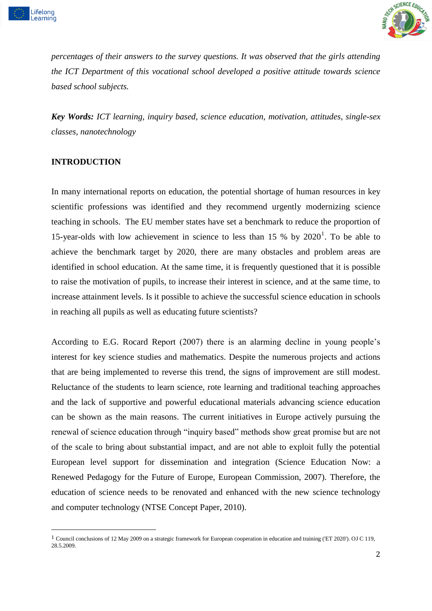



*percentages of their answers to the survey questions. It was observed that the girls attending the ICT Department of this vocational school developed a positive attitude towards science based school subjects.*

*Key Words: ICT learning, inquiry based, science education, motivation, attitudes, single-sex classes, nanotechnology*

### **INTRODUCTION**

-

In many international reports on education, the potential shortage of human resources in key scientific professions was identified and they recommend urgently modernizing science teaching in schools. The EU member states have set a benchmark to reduce the proportion of 15-year-olds with low achievement in science to less than  $15\%$  by  $2020<sup>1</sup>$ . To be able to achieve the benchmark target by 2020, there are many obstacles and problem areas are identified in school education. At the same time, it is frequently questioned that it is possible to raise the motivation of pupils, to increase their interest in science, and at the same time, to increase attainment levels. Is it possible to achieve the successful science education in schools in reaching all pupils as well as educating future scientists?

According to E.G. Rocard Report (2007) there is an alarming decline in young people's interest for key science studies and mathematics. Despite the numerous projects and actions that are being implemented to reverse this trend, the signs of improvement are still modest. Reluctance of the students to learn science, rote learning and traditional teaching approaches and the lack of supportive and powerful educational materials advancing science education can be shown as the main reasons. The current initiatives in Europe actively pursuing the renewal of science education through "inquiry based" methods show great promise but are not of the scale to bring about substantial impact, and are not able to exploit fully the potential European level support for dissemination and integration (Science Education Now: a Renewed Pedagogy for the Future of Europe, European Commission, 2007). Therefore, the education of science needs to be renovated and enhanced with the new science technology and computer technology (NTSE Concept Paper, 2010).

<sup>1</sup> Council conclusions of 12 May 2009 on a strategic framework for European cooperation in education and training ('ET 2020'). OJ C 119, 28.5.2009.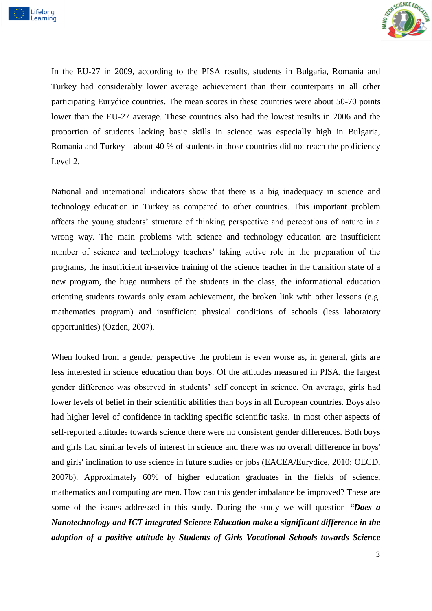



In the EU-27 in 2009, according to the PISA results, students in Bulgaria, Romania and Turkey had considerably lower average achievement than their counterparts in all other participating Eurydice countries. The mean scores in these countries were about 50-70 points lower than the EU-27 average. These countries also had the lowest results in 2006 and the proportion of students lacking basic skills in science was especially high in Bulgaria, Romania and Turkey – about 40 % of students in those countries did not reach the proficiency Level 2.

National and international indicators show that there is a big inadequacy in science and technology education in Turkey as compared to other countries. This important problem affects the young students' structure of thinking perspective and perceptions of nature in a wrong way. The main problems with science and technology education are insufficient number of science and technology teachers' taking active role in the preparation of the programs, the insufficient in-service training of the science teacher in the transition state of a new program, the huge numbers of the students in the class, the informational education orienting students towards only exam achievement, the broken link with other lessons (e.g. mathematics program) and insufficient physical conditions of schools (less laboratory opportunities) (Ozden, 2007).

When looked from a gender perspective the problem is even worse as, in general, girls are less interested in science education than boys. Of the attitudes measured in PISA, the largest gender difference was observed in students' self concept in science. On average, girls had lower levels of belief in their scientific abilities than boys in all European countries. Boys also had higher level of confidence in tackling specific scientific tasks. In most other aspects of self-reported attitudes towards science there were no consistent gender differences. Both boys and girls had similar levels of interest in science and there was no overall difference in boys' and girls' inclination to use science in future studies or jobs (EACEA/Eurydice, 2010; OECD, 2007b). Approximately 60% of higher education graduates in the fields of science, mathematics and computing are men. How can this gender imbalance be improved? These are some of the issues addressed in this study. During the study we will question *"Does a Nanotechnology and ICT integrated Science Education make a significant difference in the adoption of a positive attitude by Students of Girls Vocational Schools towards Science*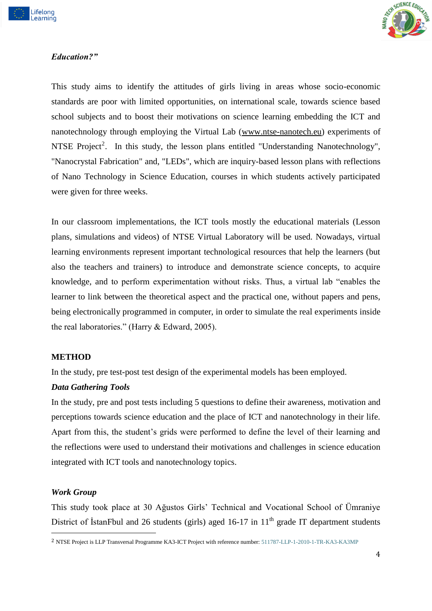



# *Education?"*

This study aims to identify the attitudes of girls living in areas whose socio-economic standards are poor with limited opportunities, on international scale, towards science based school subjects and to boost their motivations on science learning embedding the ICT and nanotechnology through employing the Virtual Lab [\(www.ntse-nanotech.eu\)](http://www.ntse-nanotech.eu/) experiments of NTSE Project<sup>2</sup>. In this study, the lesson plans entitled "Understanding Nanotechnology", "Nanocrystal Fabrication" and, "LEDs", which are inquiry-based lesson plans with reflections of Nano Technology in Science Education, courses in which students actively participated were given for three weeks.

In our classroom implementations, the ICT tools mostly the educational materials (Lesson plans, simulations and videos) of NTSE Virtual Laboratory will be used. Nowadays, virtual learning environments represent important technological resources that help the learners (but also the teachers and trainers) to introduce and demonstrate science concepts, to acquire knowledge, and to perform experimentation without risks. Thus, a virtual lab "enables the learner to link between the theoretical aspect and the practical one, without papers and pens, being electronically programmed in computer, in order to simulate the real experiments inside the real laboratories." (Harry & Edward, 2005).

### **METHOD**

In the study, pre test-post test design of the experimental models has been employed.

### *Data Gathering Tools*

In the study, pre and post tests including 5 questions to define their awareness, motivation and perceptions towards science education and the place of ICT and nanotechnology in their life. Apart from this, the student's grids were performed to define the level of their learning and the reflections were used to understand their motivations and challenges in science education integrated with ICT tools and nanotechnology topics.

### *Work Group*

.<br>-

This study took place at 30 Ağustos Girls' Technical and Vocational School of Ümraniye District of IstanFbul and 26 students (girls) aged  $16-17$  in  $11<sup>th</sup>$  grade IT department students

<sup>2</sup> NTSE Project is LLP Transversal Programme KA3-ICT Project with reference number: 511787-LLP-1-2010-1-TR-KA3-KA3MP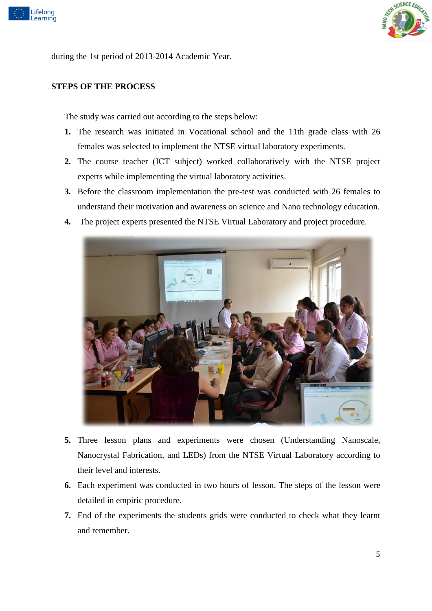



during the 1st period of 2013-2014 Academic Year.

# **STEPS OF THE PROCESS**

The study was carried out according to the steps below:

- **1.** The research was initiated in Vocational school and the 11th grade class with 26 females was selected to implement the NTSE virtual laboratory experiments.
- **2.** The course teacher (ICT subject) worked collaboratively with the NTSE project experts while implementing the virtual laboratory activities.
- **3.** Before the classroom implementation the pre-test was conducted with 26 females to understand their motivation and awareness on science and Nano technology education.
- **4.** The project experts presented the NTSE Virtual Laboratory and project procedure.



- **5.** Three lesson plans and experiments were chosen (Understanding Nanoscale, Nanocrystal Fabrication, and LEDs) from the NTSE Virtual Laboratory according to their level and interests.
- **6.** Each experiment was conducted in two hours of lesson. The steps of the lesson were detailed in empiric procedure.
- **7.** End of the experiments the students grids were conducted to check what they learnt and remember.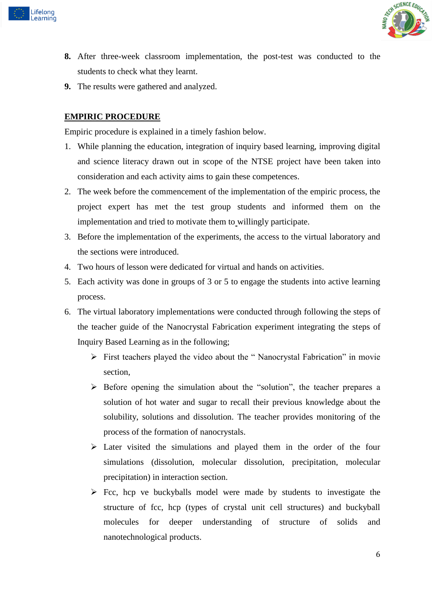



- **8.** After three-week classroom implementation, the post-test was conducted to the students to check what they learnt.
- **9.** The results were gathered and analyzed.

# **EMPIRIC PROCEDURE**

Empiric procedure is explained in a timely fashion below.

- 1. While planning the education, integration of inquiry based learning, improving digital and science literacy drawn out in scope of the NTSE project have been taken into consideration and each activity aims to gain these competences.
- 2. The week before the commencement of the implementation of the empiric process, the project expert has met the test group students and informed them on the implementation and tried to motivate them to willingly participate.
- 3. Before the implementation of the experiments, the access to the virtual laboratory and the sections were introduced.
- 4. Two hours of lesson were dedicated for virtual and hands on activities.
- 5. Each activity was done in groups of 3 or 5 to engage the students into active learning process.
- 6. The virtual laboratory implementations were conducted through following the steps of the teacher guide of the Nanocrystal Fabrication experiment integrating the steps of Inquiry Based Learning as in the following;
	- First teachers played the video about the " Nanocrystal Fabrication" in movie section,
	- $\triangleright$  Before opening the simulation about the "solution", the teacher prepares a solution of hot water and sugar to recall their previous knowledge about the solubility, solutions and dissolution. The teacher provides monitoring of the process of the formation of nanocrystals.
	- $\triangleright$  Later visited the simulations and played them in the order of the four simulations (dissolution, molecular dissolution, precipitation, molecular precipitation) in interaction section.
	- $\triangleright$  Fcc, hcp ve buckyballs model were made by students to investigate the structure of fcc, hcp (types of crystal unit cell structures) and buckyball molecules for deeper understanding of structure of solids and nanotechnological products.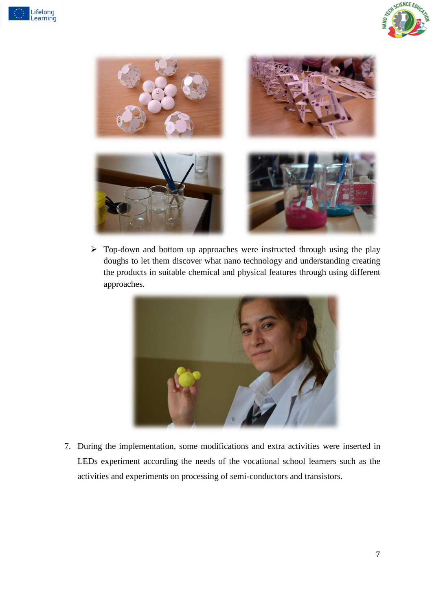





 $\triangleright$  Top-down and bottom up approaches were instructed through using the play doughs to let them discover what nano technology and understanding creating the products in suitable chemical and physical features through using different approaches.



7. During the implementation, some modifications and extra activities were inserted in LEDs experiment according the needs of the vocational school learners such as the activities and experiments on processing of semi-conductors and transistors.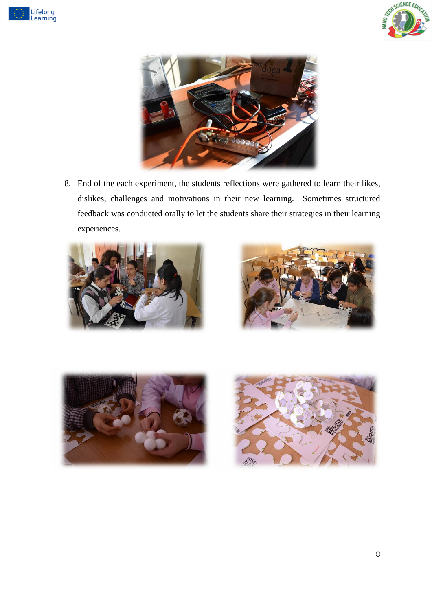





8. End of the each experiment, the students reflections were gathered to learn their likes, dislikes, challenges and motivations in their new learning. Sometimes structured feedback was conducted orally to let the students share their strategies in their learning experiences.







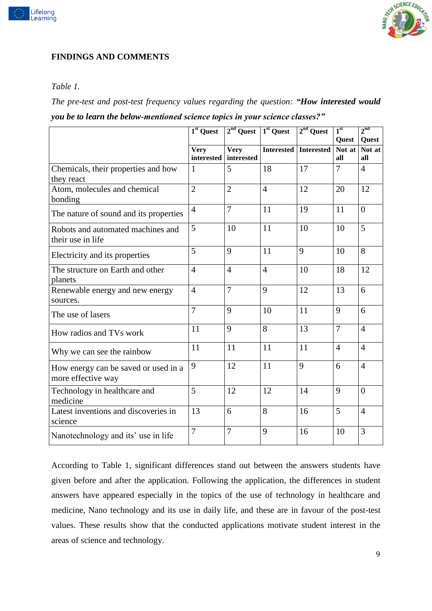



# **FINDINGS AND COMMENTS**

### *Table 1.*

*The pre-test and post-test frequency values regarding the question: "How interested would you be to learn the below-mentioned science topics in your science classes?"*

|                                                            | 1 <sup>st</sup> Quest     | $2nd$ Quest $1st$ Quest |                   | $2nd$ Quest       | 1 <sup>st</sup> | $2^{\text{nd}}$ |
|------------------------------------------------------------|---------------------------|-------------------------|-------------------|-------------------|-----------------|-----------------|
|                                                            |                           | <b>Very</b>             | <b>Interested</b> | <b>Interested</b> | Quest<br>Not at | Quest<br>Not at |
|                                                            | <b>Very</b><br>interested | interested              |                   |                   | all             | all             |
| Chemicals, their properties and how<br>they react          | $\mathbf{1}$              | 5                       | 18                | 17                | $\overline{7}$  | $\overline{4}$  |
| Atom, molecules and chemical<br>bonding                    | $\overline{2}$            | $\overline{2}$          | $\overline{4}$    | 12                | 20              | 12              |
| The nature of sound and its properties                     | $\overline{4}$            | $\overline{7}$          | 11                | 19                | 11              | $\overline{0}$  |
| Robots and automated machines and<br>their use in life     | 5                         | 10                      | 11                | 10                | 10              | 5               |
| Electricity and its properties                             | 5                         | 9                       | 11                | 9                 | 10              | 8               |
| The structure on Earth and other<br>planets                | $\overline{4}$            | $\overline{4}$          | $\overline{4}$    | 10                | 18              | 12              |
| Renewable energy and new energy<br>sources.                | $\overline{4}$            | $\overline{7}$          | 9                 | 12                | 13              | 6               |
| The use of lasers                                          | $\overline{7}$            | 9                       | 10                | 11                | 9               | 6               |
| How radios and TVs work                                    | 11                        | 9                       | 8                 | 13                | $\overline{7}$  | $\overline{4}$  |
| Why we can see the rainbow                                 | 11                        | 11                      | 11                | 11                | $\overline{4}$  | $\overline{4}$  |
| How energy can be saved or used in a<br>more effective way | 9                         | 12                      | 11                | 9                 | 6               | $\overline{4}$  |
| Technology in healthcare and<br>medicine                   | 5                         | 12                      | 12                | 14                | 9               | $\Omega$        |
| Latest inventions and discoveries in<br>science            | 13                        | 6                       | 8                 | 16                | 5               | $\overline{4}$  |
| Nanotechnology and its' use in life                        | $\overline{7}$            | $\overline{7}$          | 9                 | 16                | 10              | 3               |

According to Table 1, significant differences stand out between the answers students have given before and after the application. Following the application, the differences in student answers have appeared especially in the topics of the use of technology in healthcare and medicine, Nano technology and its use in daily life, and these are in favour of the post-test values. These results show that the conducted applications motivate student interest in the areas of science and technology.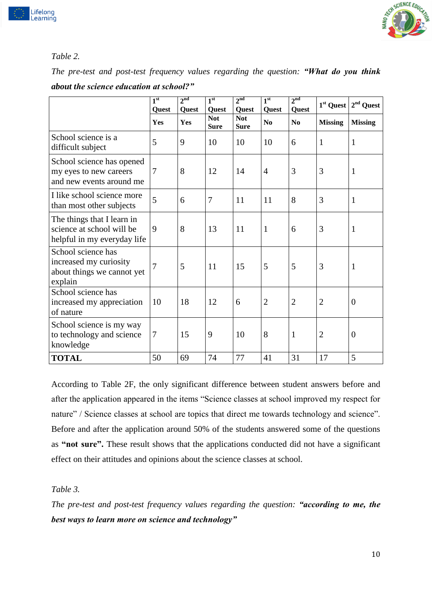

# *Table 2.*

Lifelong<br>Learning

*The pre-test and post-test frequency values regarding the question: "What do you think about the science education at school?"*

|                                                                                        | 1 <sup>st</sup><br>Quest | 2 <sup>nd</sup><br>Quest | 1 <sup>st</sup><br>Quest  | 2 <sup>nd</sup><br>Quest  | 1 <sup>st</sup><br>Quest | 2 <sup>nd</sup><br>Quest | $1st$ Quest    | $2nd$ Quest      |
|----------------------------------------------------------------------------------------|--------------------------|--------------------------|---------------------------|---------------------------|--------------------------|--------------------------|----------------|------------------|
|                                                                                        | Yes                      | Yes                      | <b>Not</b><br><b>Sure</b> | <b>Not</b><br><b>Sure</b> | N <sub>0</sub>           | N <sub>0</sub>           | <b>Missing</b> | <b>Missing</b>   |
| School science is a<br>difficult subject                                               | 5                        | 9                        | 10                        | 10                        | 10                       | 6                        | $\mathbf{1}$   | 1                |
| School science has opened<br>my eyes to new careers<br>and new events around me        | $\overline{7}$           | 8                        | 12                        | 14                        | $\overline{4}$           | 3                        | 3              | 1                |
| I like school science more<br>than most other subjects                                 | 5                        | 6                        | $\overline{7}$            | 11                        | 11                       | 8                        | 3              | 1                |
| The things that I learn in<br>science at school will be<br>helpful in my everyday life | 9                        | 8                        | 13                        | 11                        | $\mathbf{1}$             | 6                        | 3              | 1                |
| School science has<br>increased my curiosity<br>about things we cannot yet<br>explain  | $\overline{7}$           | 5                        | 11                        | 15                        | 5                        | 5                        | 3              | 1                |
| School science has<br>increased my appreciation<br>of nature                           | 10                       | 18                       | 12                        | 6                         | $\overline{2}$           | $\overline{2}$           | $\overline{2}$ | $\overline{0}$   |
| School science is my way<br>to technology and science<br>knowledge                     | $\overline{7}$           | 15                       | 9                         | 10                        | 8                        | $\mathbf{1}$             | $\overline{2}$ | $\boldsymbol{0}$ |
| <b>TOTAL</b>                                                                           | 50                       | 69                       | 74                        | 77                        | 41                       | 31                       | 17             | 5                |

According to Table 2F, the only significant difference between student answers before and after the application appeared in the items "Science classes at school improved my respect for nature" / Science classes at school are topics that direct me towards technology and science". Before and after the application around 50% of the students answered some of the questions as **"not sure".** These result shows that the applications conducted did not have a significant effect on their attitudes and opinions about the science classes at school.

*Table 3.*

*The pre-test and post-test frequency values regarding the question: "according to me, the best ways to learn more on science and technology"*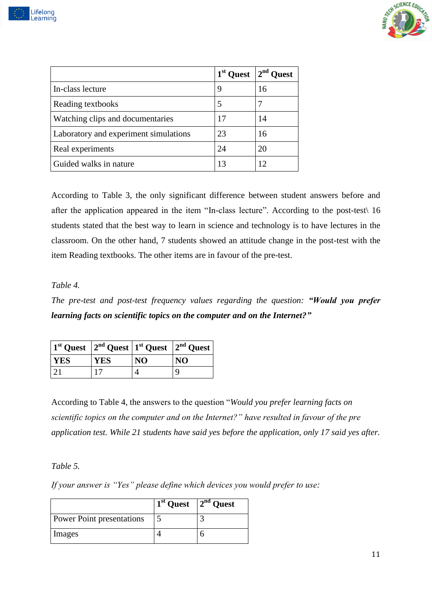



|                                       | 1 <sup>st</sup> Quest | $2nd$ Quest |
|---------------------------------------|-----------------------|-------------|
| In-class lecture                      | 9                     | 16          |
| Reading textbooks                     |                       |             |
| Watching clips and documentaries      | 17                    | 14          |
| Laboratory and experiment simulations | 23                    | 16          |
| Real experiments                      | 24                    | 20          |
| Guided walks in nature                | 13                    | 12          |

According to Table 3, the only significant difference between student answers before and after the application appeared in the item "In-class lecture". According to the post-test\ 16 students stated that the best way to learn in science and technology is to have lectures in the classroom. On the other hand, 7 students showed an attitude change in the post-test with the item Reading textbooks. The other items are in favour of the pre-test.

### *Table 4.*

*The pre-test and post-test frequency values regarding the question: "Would you prefer learning facts on scientific topics on the computer and on the Internet?"*

| $\frac{1}{3}$ 2 <sup>nd</sup> Quest $\frac{1}{2}$ <sup>nd</sup> Quest $\frac{1}{3}$ <sup>nd</sup> Quest $\frac{1}{3}$ |            |    |    |
|-----------------------------------------------------------------------------------------------------------------------|------------|----|----|
| <b>YES</b>                                                                                                            | <b>YES</b> | NO | NO |
| $\mathbf{r}$                                                                                                          |            |    |    |

According to Table 4, the answers to the question "*Would you prefer learning facts on scientific topics on the computer and on the Internet?" have resulted in favour of the pre application test. While 21 students have said yes before the application, only 17 said yes after.*

### *Table 5.*

*If your answer is "Yes" please define which devices you would prefer to use:*

|                                  | $1st$ Quest $2nd$ Quest |  |
|----------------------------------|-------------------------|--|
| <b>Power Point presentations</b> |                         |  |
| Images                           |                         |  |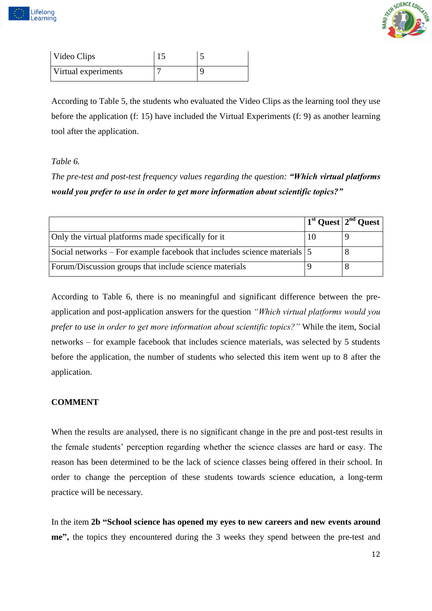



| Video Clips         |  |
|---------------------|--|
| Virtual experiments |  |

According to Table 5, the students who evaluated the Video Clips as the learning tool they use before the application (f: 15) have included the Virtual Experiments (f: 9) as another learning tool after the application.

# *Table 6.*

*The pre-test and post-test frequency values regarding the question: "Which virtual platforms would you prefer to use in order to get more information about scientific topics?"*

|                                                                          | $\frac{1}{3}$ Quest $\frac{2^{nd}}{2^{nd}}$ Quest |
|--------------------------------------------------------------------------|---------------------------------------------------|
| Only the virtual platforms made specifically for it                      |                                                   |
| Social networks – For example facebook that includes science materials 5 |                                                   |
| Forum/Discussion groups that include science materials                   |                                                   |

According to Table 6, there is no meaningful and significant difference between the preapplication and post-application answers for the question *"Which virtual platforms would you prefer to use in order to get more information about scientific topics?"* While the item, Social networks – for example facebook that includes science materials, was selected by 5 students before the application, the number of students who selected this item went up to 8 after the application.

# **COMMENT**

When the results are analysed, there is no significant change in the pre and post-test results in the female students' perception regarding whether the science classes are hard or easy. The reason has been determined to be the lack of science classes being offered in their school. In order to change the perception of these students towards science education, a long-term practice will be necessary.

In the item **2b "School science has opened my eyes to new careers and new events around me",** the topics they encountered during the 3 weeks they spend between the pre-test and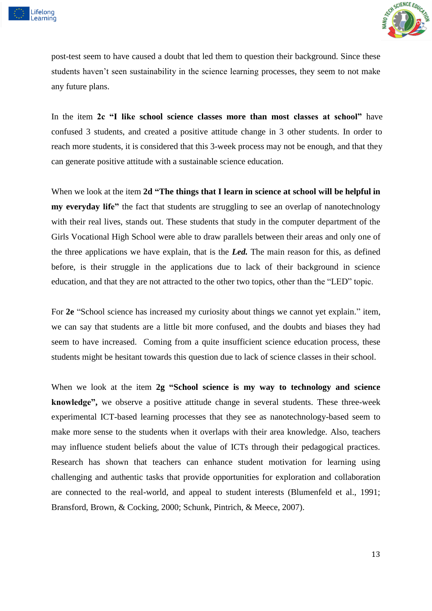



post-test seem to have caused a doubt that led them to question their background. Since these students haven't seen sustainability in the science learning processes, they seem to not make any future plans.

In the item **2c "I like school science classes more than most classes at school"** have confused 3 students, and created a positive attitude change in 3 other students. In order to reach more students, it is considered that this 3-week process may not be enough, and that they can generate positive attitude with a sustainable science education.

When we look at the item 2d "The things that I learn in science at school will be helpful in **my everyday life"** the fact that students are struggling to see an overlap of nanotechnology with their real lives, stands out. These students that study in the computer department of the Girls Vocational High School were able to draw parallels between their areas and only one of the three applications we have explain, that is the *Led.* The main reason for this, as defined before, is their struggle in the applications due to lack of their background in science education, and that they are not attracted to the other two topics, other than the "LED" topic.

For **2e** "School science has increased my curiosity about things we cannot yet explain." item, we can say that students are a little bit more confused, and the doubts and biases they had seem to have increased. Coming from a quite insufficient science education process, these students might be hesitant towards this question due to lack of science classes in their school.

When we look at the item **2g "School science is my way to technology and science knowledge",** we observe a positive attitude change in several students. These three-week experimental ICT-based learning processes that they see as nanotechnology-based seem to make more sense to the students when it overlaps with their area knowledge. Also, teachers may influence student beliefs about the value of ICTs through their pedagogical practices. Research has shown that teachers can enhance student motivation for learning using challenging and authentic tasks that provide opportunities for exploration and collaboration are connected to the real-world, and appeal to student interests (Blumenfeld et al., 1991; Bransford, Brown, & Cocking, 2000; Schunk, Pintrich, & Meece, 2007).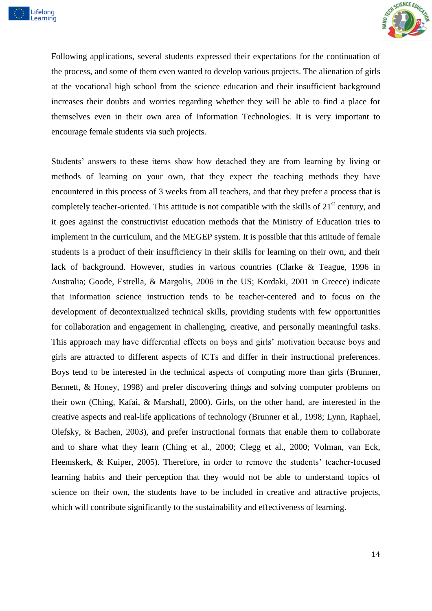



Following applications, several students expressed their expectations for the continuation of the process, and some of them even wanted to develop various projects. The alienation of girls at the vocational high school from the science education and their insufficient background increases their doubts and worries regarding whether they will be able to find a place for themselves even in their own area of Information Technologies. It is very important to encourage female students via such projects.

Students' answers to these items show how detached they are from learning by living or methods of learning on your own, that they expect the teaching methods they have encountered in this process of 3 weeks from all teachers, and that they prefer a process that is completely teacher-oriented. This attitude is not compatible with the skills of  $21<sup>st</sup>$  century, and it goes against the constructivist education methods that the Ministry of Education tries to implement in the curriculum, and the MEGEP system. It is possible that this attitude of female students is a product of their insufficiency in their skills for learning on their own, and their lack of background. However, studies in various countries (Clarke & Teague, 1996 in Australia; Goode, Estrella, & Margolis, 2006 in the US; Kordaki, 2001 in Greece) indicate that information science instruction tends to be teacher-centered and to focus on the development of decontextualized technical skills, providing students with few opportunities for collaboration and engagement in challenging, creative, and personally meaningful tasks. This approach may have differential effects on boys and girls' motivation because boys and girls are attracted to different aspects of ICTs and differ in their instructional preferences. Boys tend to be interested in the technical aspects of computing more than girls (Brunner, Bennett, & Honey, 1998) and prefer discovering things and solving computer problems on their own (Ching, Kafai, & Marshall, 2000). Girls, on the other hand, are interested in the creative aspects and real-life applications of technology (Brunner et al., 1998; Lynn, Raphael, Olefsky, & Bachen, 2003), and prefer instructional formats that enable them to collaborate and to share what they learn (Ching et al., 2000; Clegg et al., 2000; Volman, van Eck, Heemskerk, & Kuiper, 2005). Therefore, in order to remove the students' teacher-focused learning habits and their perception that they would not be able to understand topics of science on their own, the students have to be included in creative and attractive projects, which will contribute significantly to the sustainability and effectiveness of learning.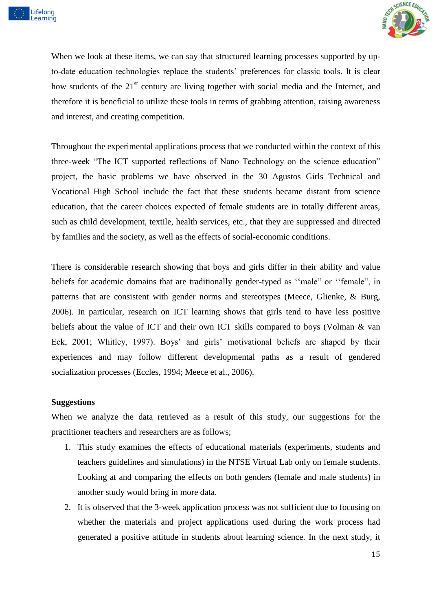



When we look at these items, we can say that structured learning processes supported by upto-date education technologies replace the students' preferences for classic tools. It is clear how students of the 21<sup>st</sup> century are living together with social media and the Internet, and therefore it is beneficial to utilize these tools in terms of grabbing attention, raising awareness and interest, and creating competition.

Throughout the experimental applications process that we conducted within the context of this three-week "The ICT supported reflections of Nano Technology on the science education" project, the basic problems we have observed in the 30 Agustos Girls Technical and Vocational High School include the fact that these students became distant from science education, that the career choices expected of female students are in totally different areas, such as child development, textile, health services, etc., that they are suppressed and directed by families and the society, as well as the effects of social-economic conditions.

There is considerable research showing that boys and girls differ in their ability and value beliefs for academic domains that are traditionally gender-typed as ''male" or ''female", in patterns that are consistent with gender norms and stereotypes (Meece, Glienke, & Burg, 2006). In particular, research on ICT learning shows that girls tend to have less positive beliefs about the value of ICT and their own ICT skills compared to boys (Volman & van Eck, 2001; Whitley, 1997). Boys' and girls' motivational beliefs are shaped by their experiences and may follow different developmental paths as a result of gendered socialization processes (Eccles, 1994; Meece et al., 2006).

### **Suggestions**

When we analyze the data retrieved as a result of this study, our suggestions for the practitioner teachers and researchers are as follows;

- 1. This study examines the effects of educational materials (experiments, students and teachers guidelines and simulations) in the NTSE Virtual Lab only on female students. Looking at and comparing the effects on both genders (female and male students) in another study would bring in more data.
- 2. It is observed that the 3-week application process was not sufficient due to focusing on whether the materials and project applications used during the work process had generated a positive attitude in students about learning science. In the next study, it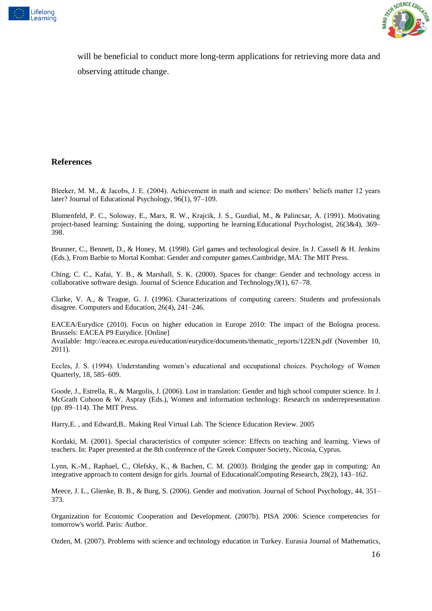



will be beneficial to conduct more long-term applications for retrieving more data and observing attitude change.

#### **References**

Bleeker, M. M., & Jacobs, J. E. (2004). Achievement in math and science: Do mothers' beliefs matter 12 years later? Journal of Educational Psychology, 96(1), 97–109.

Blumenfeld, P. C., Soloway, E., Marx, R. W., Krajcik, J. S., Guzdial, M., & Palincsar, A. (1991). Motivating project-based learning: Sustaining the doing, supporting he learning.Educational Psychologist, 26(3&4), 369– 398.

Brunner, C., Bennett, D., & Honey, M. (1998). Girl games and technological desire. In J. Cassell & H. Jenkins (Eds.), From Barbie to Mortal Kombat: Gender and computer games.Cambridge, MA: The MIT Press.

Ching, C. C., Kafai, Y. B., & Marshall, S. K. (2000). Spaces for change: Gender and technology access in collaborative software design. Journal of Science Education and Technology,9(1), 67–78.

Clarke, V. A., & Teague, G. J. (1996). Characterizations of computing careers: Students and professionals disagree. Computers and Education, 26(4), 241–246.

EACEA/Eurydice (2010). Focus on higher education in Europe 2010: The impact of the Bologna process. Brussels: EACEA P9 Eurydice. [Online]

Available: http://eacea.ec.europa.eu/education/eurydice/documents/thematic\_reports/122EN.pdf (November 10, 2011).

Eccles, J. S. (1994). Understanding women's educational and occupational choices. Psychology of Women Quarterly, 18, 585–609.

Goode, J., Estrella, R., & Margolis, J. (2006). Lost in translation: Gender and high school computer science. In J. McGrath Cohoon & W. Aspray (Eds.), Women and information technology: Research on underrepresentation (pp. 89–114). The MIT Press.

Harry,E. , and Edward,B.. Making Real Virtual Lab. The Science Education Review. 2005

Kordaki, M. (2001). Special characteristics of computer science: Effects on teaching and learning. Views of teachers. In: Paper presented at the 8th conference of the Greek Computer Society, Nicosia, Cyprus.

Lynn, K.-M., Raphael, C., Olefsky, K., & Bachen, C. M. (2003). Bridging the gender gap in computing: An integrative approach to content design for girls. Journal of EducationalComputing Research, 28(2), 143–162.

Meece, J. L., Glienke, B. B., & Burg, S. (2006). Gender and motivation. Journal of School Psychology, 44, 351– 373.

Organization for Economic Cooperation and Development. (2007b). PISA 2006: Science competencies for tomorrow's world. Paris: Author.

Ozden, M. (2007). Problems with science and technology education in Turkey. Eurasia Journal of Mathematics,